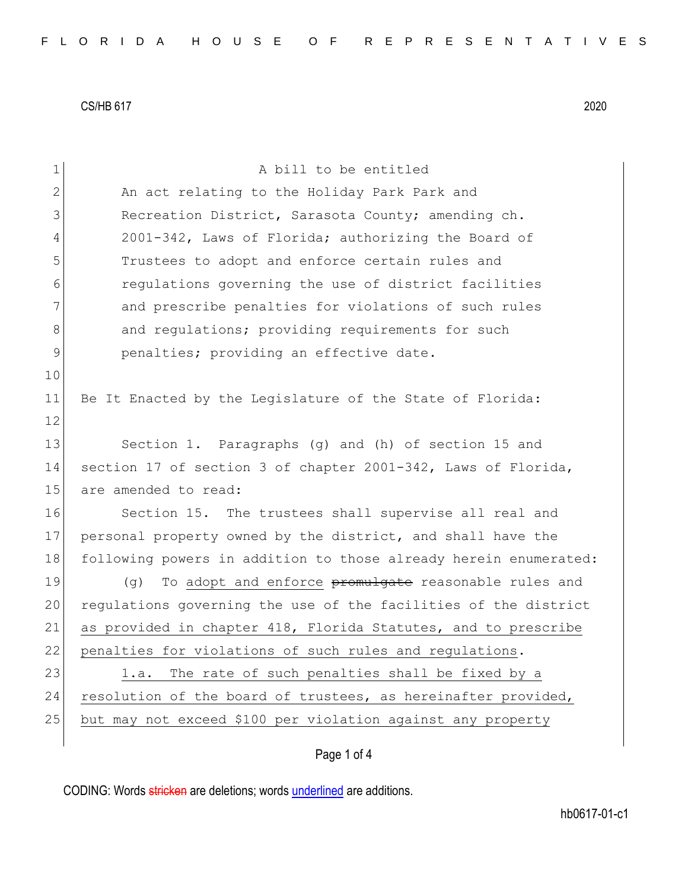| 1  | A bill to be entitled                                            |
|----|------------------------------------------------------------------|
| 2  | An act relating to the Holiday Park Park and                     |
| 3  | Recreation District, Sarasota County; amending ch.               |
|    |                                                                  |
| 4  | 2001-342, Laws of Florida; authorizing the Board of              |
| 5  | Trustees to adopt and enforce certain rules and                  |
| 6  | regulations governing the use of district facilities             |
| 7  | and prescribe penalties for violations of such rules             |
| 8  | and regulations; providing requirements for such                 |
| 9  | penalties; providing an effective date.                          |
| 10 |                                                                  |
| 11 | Be It Enacted by the Legislature of the State of Florida:        |
| 12 |                                                                  |
| 13 | Section 1. Paragraphs (g) and (h) of section 15 and              |
| 14 | section 17 of section 3 of chapter 2001-342, Laws of Florida,    |
| 15 | are amended to read:                                             |
| 16 | Section 15. The trustees shall supervise all real and            |
| 17 | personal property owned by the district, and shall have the      |
| 18 | following powers in addition to those already herein enumerated: |
| 19 | To adopt and enforce promulgate reasonable rules and<br>(q)      |
| 20 | regulations governing the use of the facilities of the district  |
| 21 | as provided in chapter 418, Florida Statutes, and to prescribe   |
| 22 | penalties for violations of such rules and requlations.          |
| 23 | The rate of such penalties shall be fixed by a<br>1.a.           |
| 24 | resolution of the board of trustees, as hereinafter provided,    |
| 25 | but may not exceed \$100 per violation against any property      |
|    |                                                                  |
|    | Page 1 of 4                                                      |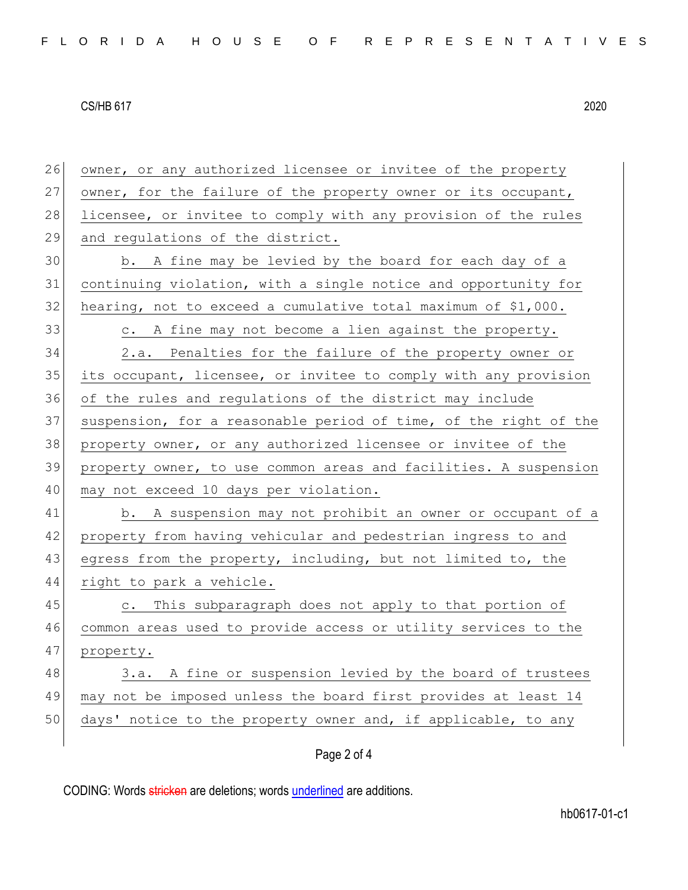| 26 | owner, or any authorized licensee or invitee of the property     |
|----|------------------------------------------------------------------|
| 27 | owner, for the failure of the property owner or its occupant,    |
| 28 | licensee, or invitee to comply with any provision of the rules   |
| 29 | and regulations of the district.                                 |
| 30 | b. A fine may be levied by the board for each day of a           |
| 31 | continuing violation, with a single notice and opportunity for   |
| 32 | hearing, not to exceed a cumulative total maximum of \$1,000.    |
| 33 | A fine may not become a lien against the property.<br>$\circ$ .  |
| 34 | 2.a. Penalties for the failure of the property owner or          |
| 35 | its occupant, licensee, or invitee to comply with any provision  |
| 36 | of the rules and regulations of the district may include         |
| 37 | suspension, for a reasonable period of time, of the right of the |
| 38 | property owner, or any authorized licensee or invitee of the     |
| 39 | property owner, to use common areas and facilities. A suspension |
| 40 | may not exceed 10 days per violation.                            |
| 41 | b. A suspension may not prohibit an owner or occupant of a       |
| 42 | property from having vehicular and pedestrian ingress to and     |
| 43 | egress from the property, including, but not limited to, the     |
| 44 | right to park a vehicle.                                         |
| 45 | This subparagraph does not apply to that portion of<br>$\circ$ . |
| 46 | common areas used to provide access or utility services to the   |
| 47 | property.                                                        |
| 48 | A fine or suspension levied by the board of trustees<br>3.a.     |
| 49 | may not be imposed unless the board first provides at least 14   |
| 50 | days' notice to the property owner and, if applicable, to any    |
|    |                                                                  |

# Page 2 of 4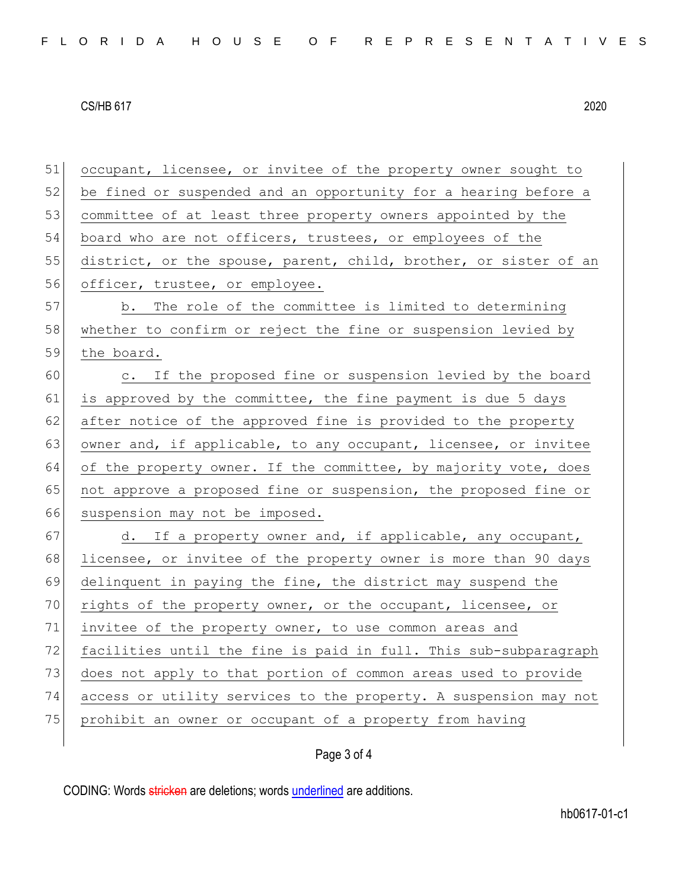51 occupant, licensee, or invitee of the property owner sought to 52 be fined or suspended and an opportunity for a hearing before a 53 committee of at least three property owners appointed by the 54 board who are not officers, trustees, or employees of the 55 district, or the spouse, parent, child, brother, or sister of an 56 officer, trustee, or employee. 57 b. The role of the committee is limited to determining 58 whether to confirm or reject the fine or suspension levied by 59 the board. 60 c. If the proposed fine or suspension levied by the board 61 is approved by the committee, the fine payment is due 5 days 62 after notice of the approved fine is provided to the property 63 owner and, if applicable, to any occupant, licensee, or invitee 64 of the property owner. If the committee, by majority vote, does 65 not approve a proposed fine or suspension, the proposed fine or 66 suspension may not be imposed. 67 d. If a property owner and, if applicable, any occupant, 68 licensee, or invitee of the property owner is more than 90 days 69 delinquent in paying the fine, the district may suspend the 70 rights of the property owner, or the occupant, licensee, or 71 invitee of the property owner, to use common areas and 72 facilities until the fine is paid in full. This sub-subparagraph 73 does not apply to that portion of common areas used to provide 74 access or utility services to the property. A suspension may not 75 prohibit an owner or occupant of a property from having

## Page 3 of 4